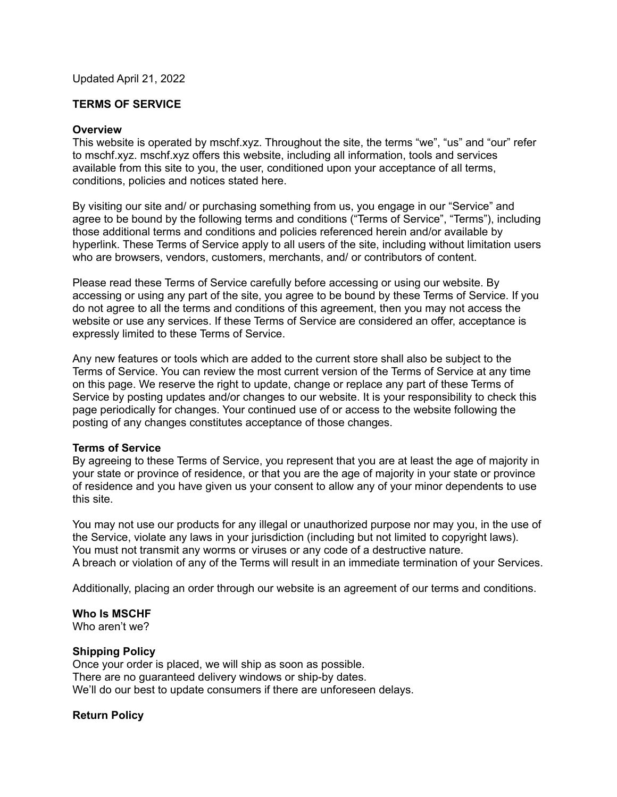Updated April 21, 2022

# **TERMS OF SERVICE**

#### **Overview**

This website is operated by mschf.xyz. Throughout the site, the terms "we", "us" and "our" refer to mschf.xyz. mschf.xyz offers this website, including all information, tools and services available from this site to you, the user, conditioned upon your acceptance of all terms, conditions, policies and notices stated here.

By visiting our site and/ or purchasing something from us, you engage in our "Service" and agree to be bound by the following terms and conditions ("Terms of Service", "Terms"), including those additional terms and conditions and policies referenced herein and/or available by hyperlink. These Terms of Service apply to all users of the site, including without limitation users who are browsers, vendors, customers, merchants, and/ or contributors of content.

Please read these Terms of Service carefully before accessing or using our website. By accessing or using any part of the site, you agree to be bound by these Terms of Service. If you do not agree to all the terms and conditions of this agreement, then you may not access the website or use any services. If these Terms of Service are considered an offer, acceptance is expressly limited to these Terms of Service.

Any new features or tools which are added to the current store shall also be subject to the Terms of Service. You can review the most current version of the Terms of Service at any time on this page. We reserve the right to update, change or replace any part of these Terms of Service by posting updates and/or changes to our website. It is your responsibility to check this page periodically for changes. Your continued use of or access to the website following the posting of any changes constitutes acceptance of those changes.

#### **Terms of Service**

By agreeing to these Terms of Service, you represent that you are at least the age of majority in your state or province of residence, or that you are the age of majority in your state or province of residence and you have given us your consent to allow any of your minor dependents to use this site.

You may not use our products for any illegal or unauthorized purpose nor may you, in the use of the Service, violate any laws in your jurisdiction (including but not limited to copyright laws). You must not transmit any worms or viruses or any code of a destructive nature. A breach or violation of any of the Terms will result in an immediate termination of your Services.

Additionally, placing an order through our website is an agreement of our terms and conditions.

#### **Who Is MSCHF**

Who aren't we?

#### **Shipping Policy**

Once your order is placed, we will ship as soon as possible. There are no guaranteed delivery windows or ship-by dates. We'll do our best to update consumers if there are unforeseen delays.

# **Return Policy**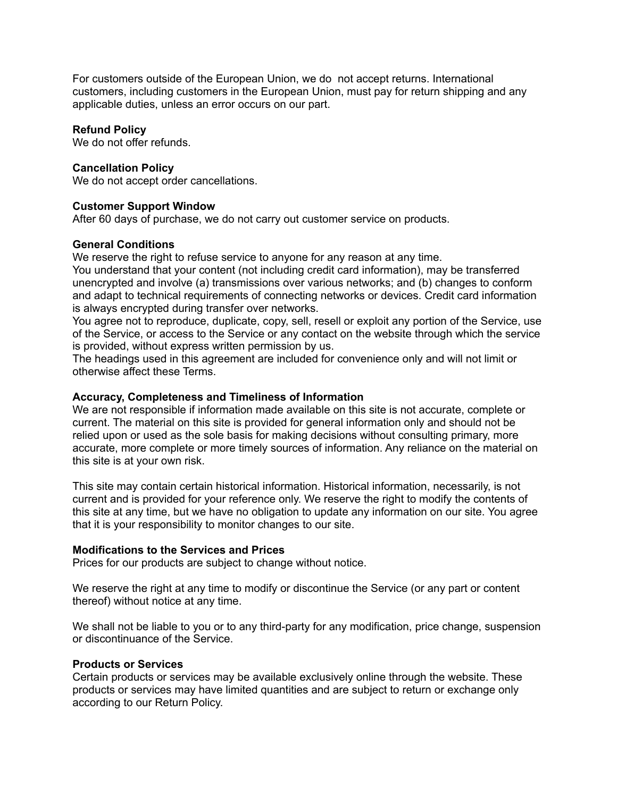For customers outside of the European Union, we do not accept returns. International customers, including customers in the European Union, must pay for return shipping and any applicable duties, unless an error occurs on our part.

### **Refund Policy**

We do not offer refunds.

#### **Cancellation Policy**

We do not accept order cancellations.

#### **Customer Support Window**

After 60 days of purchase, we do not carry out customer service on products.

### **General Conditions**

We reserve the right to refuse service to anyone for any reason at any time.

You understand that your content (not including credit card information), may be transferred unencrypted and involve (a) transmissions over various networks; and (b) changes to conform and adapt to technical requirements of connecting networks or devices. Credit card information is always encrypted during transfer over networks.

You agree not to reproduce, duplicate, copy, sell, resell or exploit any portion of the Service, use of the Service, or access to the Service or any contact on the website through which the service is provided, without express written permission by us.

The headings used in this agreement are included for convenience only and will not limit or otherwise affect these Terms.

### **Accuracy, Completeness and Timeliness of Information**

We are not responsible if information made available on this site is not accurate, complete or current. The material on this site is provided for general information only and should not be relied upon or used as the sole basis for making decisions without consulting primary, more accurate, more complete or more timely sources of information. Any reliance on the material on this site is at your own risk.

This site may contain certain historical information. Historical information, necessarily, is not current and is provided for your reference only. We reserve the right to modify the contents of this site at any time, but we have no obligation to update any information on our site. You agree that it is your responsibility to monitor changes to our site.

#### **Modifications to the Services and Prices**

Prices for our products are subject to change without notice.

We reserve the right at any time to modify or discontinue the Service (or any part or content thereof) without notice at any time.

We shall not be liable to you or to any third-party for any modification, price change, suspension or discontinuance of the Service.

#### **Products or Services**

Certain products or services may be available exclusively online through the website. These products or services may have limited quantities and are subject to return or exchange only according to our Return Policy.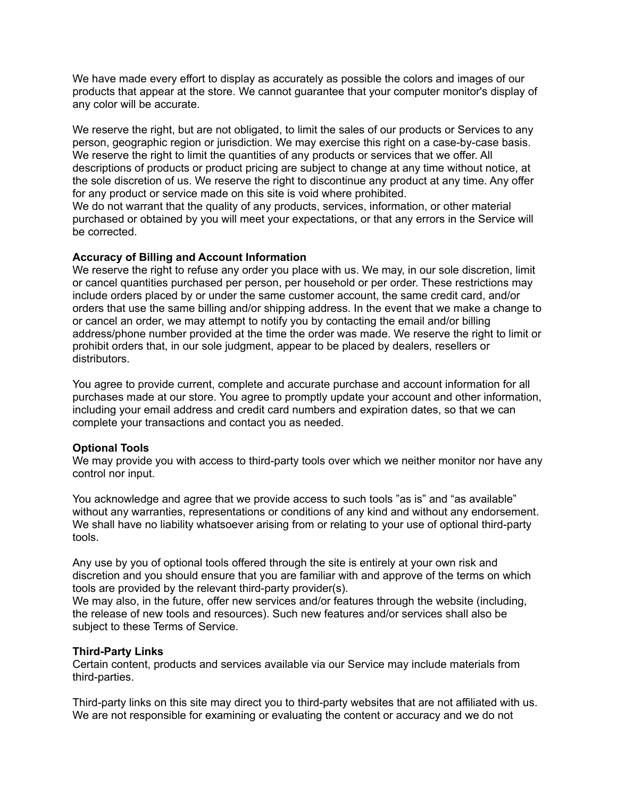We have made every effort to display as accurately as possible the colors and images of our products that appear at the store. We cannot guarantee that your computer monitor's display of any color will be accurate.

We reserve the right, but are not obligated, to limit the sales of our products or Services to any person, geographic region or jurisdiction. We may exercise this right on a case-by-case basis. We reserve the right to limit the quantities of any products or services that we offer. All descriptions of products or product pricing are subject to change at any time without notice, at the sole discretion of us. We reserve the right to discontinue any product at any time. Any offer for any product or service made on this site is void where prohibited.

We do not warrant that the quality of any products, services, information, or other material purchased or obtained by you will meet your expectations, or that any errors in the Service will be corrected.

# **Accuracy of Billing and Account Information**

We reserve the right to refuse any order you place with us. We may, in our sole discretion, limit or cancel quantities purchased per person, per household or per order. These restrictions may include orders placed by or under the same customer account, the same credit card, and/or orders that use the same billing and/or shipping address. In the event that we make a change to or cancel an order, we may attempt to notify you by contacting the email and/or billing address/phone number provided at the time the order was made. We reserve the right to limit or prohibit orders that, in our sole judgment, appear to be placed by dealers, resellers or distributors.

You agree to provide current, complete and accurate purchase and account information for all purchases made at our store. You agree to promptly update your account and other information, including your email address and credit card numbers and expiration dates, so that we can complete your transactions and contact you as needed.

#### **Optional Tools**

We may provide you with access to third-party tools over which we neither monitor nor have any control nor input.

You acknowledge and agree that we provide access to such tools "as is" and "as available" without any warranties, representations or conditions of any kind and without any endorsement. We shall have no liability whatsoever arising from or relating to your use of optional third-party tools.

Any use by you of optional tools offered through the site is entirely at your own risk and discretion and you should ensure that you are familiar with and approve of the terms on which tools are provided by the relevant third-party provider(s).

We may also, in the future, offer new services and/or features through the website (including, the release of new tools and resources). Such new features and/or services shall also be subject to these Terms of Service.

#### **Third-Party Links**

Certain content, products and services available via our Service may include materials from third-parties.

Third-party links on this site may direct you to third-party websites that are not affiliated with us. We are not responsible for examining or evaluating the content or accuracy and we do not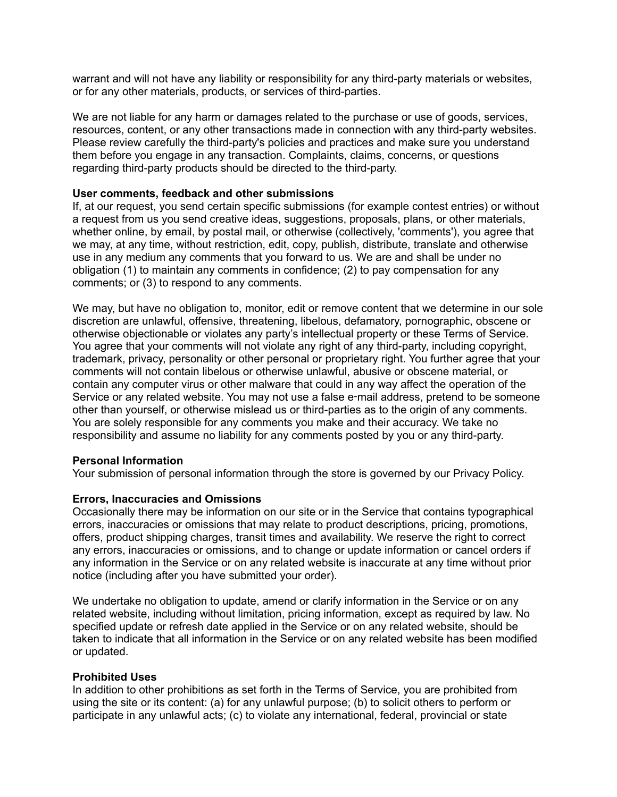warrant and will not have any liability or responsibility for any third-party materials or websites, or for any other materials, products, or services of third-parties.

We are not liable for any harm or damages related to the purchase or use of goods, services, resources, content, or any other transactions made in connection with any third-party websites. Please review carefully the third-party's policies and practices and make sure you understand them before you engage in any transaction. Complaints, claims, concerns, or questions regarding third-party products should be directed to the third-party.

### **User comments, feedback and other submissions**

If, at our request, you send certain specific submissions (for example contest entries) or without a request from us you send creative ideas, suggestions, proposals, plans, or other materials, whether online, by email, by postal mail, or otherwise (collectively, 'comments'), you agree that we may, at any time, without restriction, edit, copy, publish, distribute, translate and otherwise use in any medium any comments that you forward to us. We are and shall be under no obligation (1) to maintain any comments in confidence; (2) to pay compensation for any comments; or (3) to respond to any comments.

We may, but have no obligation to, monitor, edit or remove content that we determine in our sole discretion are unlawful, offensive, threatening, libelous, defamatory, pornographic, obscene or otherwise objectionable or violates any party's intellectual property or these Terms of Service. You agree that your comments will not violate any right of any third-party, including copyright, trademark, privacy, personality or other personal or proprietary right. You further agree that your comments will not contain libelous or otherwise unlawful, abusive or obscene material, or contain any computer virus or other malware that could in any way affect the operation of the Service or any related website. You may not use a false e-mail address, pretend to be someone other than yourself, or otherwise mislead us or third-parties as to the origin of any comments. You are solely responsible for any comments you make and their accuracy. We take no responsibility and assume no liability for any comments posted by you or any third-party.

#### **Personal Information**

Your submission of personal information through the store is governed by our Privacy Policy.

# **Errors, Inaccuracies and Omissions**

Occasionally there may be information on our site or in the Service that contains typographical errors, inaccuracies or omissions that may relate to product descriptions, pricing, promotions, offers, product shipping charges, transit times and availability. We reserve the right to correct any errors, inaccuracies or omissions, and to change or update information or cancel orders if any information in the Service or on any related website is inaccurate at any time without prior notice (including after you have submitted your order).

We undertake no obligation to update, amend or clarify information in the Service or on any related website, including without limitation, pricing information, except as required by law. No specified update or refresh date applied in the Service or on any related website, should be taken to indicate that all information in the Service or on any related website has been modified or updated.

# **Prohibited Uses**

In addition to other prohibitions as set forth in the Terms of Service, you are prohibited from using the site or its content: (a) for any unlawful purpose; (b) to solicit others to perform or participate in any unlawful acts; (c) to violate any international, federal, provincial or state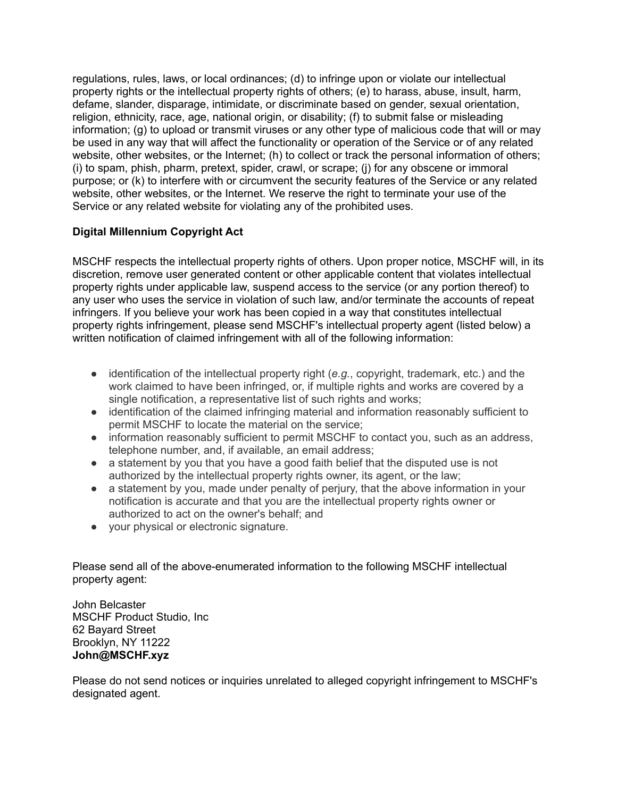regulations, rules, laws, or local ordinances; (d) to infringe upon or violate our intellectual property rights or the intellectual property rights of others; (e) to harass, abuse, insult, harm, defame, slander, disparage, intimidate, or discriminate based on gender, sexual orientation, religion, ethnicity, race, age, national origin, or disability; (f) to submit false or misleading information; (g) to upload or transmit viruses or any other type of malicious code that will or may be used in any way that will affect the functionality or operation of the Service or of any related website, other websites, or the Internet; (h) to collect or track the personal information of others; (i) to spam, phish, pharm, pretext, spider, crawl, or scrape; (j) for any obscene or immoral purpose; or (k) to interfere with or circumvent the security features of the Service or any related website, other websites, or the Internet. We reserve the right to terminate your use of the Service or any related website for violating any of the prohibited uses.

# **Digital Millennium Copyright Act**

MSCHF respects the intellectual property rights of others. Upon proper notice, MSCHF will, in its discretion, remove user generated content or other applicable content that violates intellectual property rights under applicable law, suspend access to the service (or any portion thereof) to any user who uses the service in violation of such law, and/or terminate the accounts of repeat infringers. If you believe your work has been copied in a way that constitutes intellectual property rights infringement, please send MSCHF's intellectual property agent (listed below) a written notification of claimed infringement with all of the following information:

- identification of the intellectual property right (*e.g.*, copyright, trademark, etc.) and the work claimed to have been infringed, or, if multiple rights and works are covered by a single notification, a representative list of such rights and works;
- identification of the claimed infringing material and information reasonably sufficient to permit MSCHF to locate the material on the service;
- information reasonably sufficient to permit MSCHF to contact you, such as an address, telephone number, and, if available, an email address;
- a statement by you that you have a good faith belief that the disputed use is not authorized by the intellectual property rights owner, its agent, or the law;
- a statement by you, made under penalty of perjury, that the above information in your notification is accurate and that you are the intellectual property rights owner or authorized to act on the owner's behalf; and
- your physical or electronic signature.

Please send all of the above-enumerated information to the following MSCHF intellectual property agent:

John Belcaster MSCHF Product Studio, Inc 62 Bayard Street Brooklyn, NY 11222 **John@MSCHF.xyz**

Please do not send notices or inquiries unrelated to alleged copyright infringement to MSCHF's designated agent.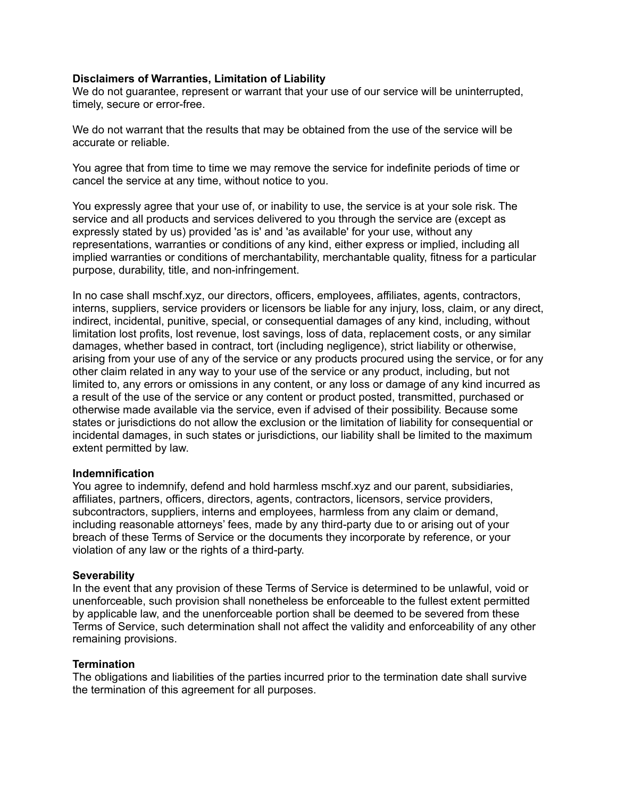## **Disclaimers of Warranties, Limitation of Liability**

We do not guarantee, represent or warrant that your use of our service will be uninterrupted, timely, secure or error-free.

We do not warrant that the results that may be obtained from the use of the service will be accurate or reliable.

You agree that from time to time we may remove the service for indefinite periods of time or cancel the service at any time, without notice to you.

You expressly agree that your use of, or inability to use, the service is at your sole risk. The service and all products and services delivered to you through the service are (except as expressly stated by us) provided 'as is' and 'as available' for your use, without any representations, warranties or conditions of any kind, either express or implied, including all implied warranties or conditions of merchantability, merchantable quality, fitness for a particular purpose, durability, title, and non-infringement.

In no case shall mschf.xyz, our directors, officers, employees, affiliates, agents, contractors, interns, suppliers, service providers or licensors be liable for any injury, loss, claim, or any direct, indirect, incidental, punitive, special, or consequential damages of any kind, including, without limitation lost profits, lost revenue, lost savings, loss of data, replacement costs, or any similar damages, whether based in contract, tort (including negligence), strict liability or otherwise, arising from your use of any of the service or any products procured using the service, or for any other claim related in any way to your use of the service or any product, including, but not limited to, any errors or omissions in any content, or any loss or damage of any kind incurred as a result of the use of the service or any content or product posted, transmitted, purchased or otherwise made available via the service, even if advised of their possibility. Because some states or jurisdictions do not allow the exclusion or the limitation of liability for consequential or incidental damages, in such states or jurisdictions, our liability shall be limited to the maximum extent permitted by law.

#### **Indemnification**

You agree to indemnify, defend and hold harmless mschf.xyz and our parent, subsidiaries, affiliates, partners, officers, directors, agents, contractors, licensors, service providers, subcontractors, suppliers, interns and employees, harmless from any claim or demand, including reasonable attorneys' fees, made by any third-party due to or arising out of your breach of these Terms of Service or the documents they incorporate by reference, or your violation of any law or the rights of a third-party.

#### **Severability**

In the event that any provision of these Terms of Service is determined to be unlawful, void or unenforceable, such provision shall nonetheless be enforceable to the fullest extent permitted by applicable law, and the unenforceable portion shall be deemed to be severed from these Terms of Service, such determination shall not affect the validity and enforceability of any other remaining provisions.

#### **Termination**

The obligations and liabilities of the parties incurred prior to the termination date shall survive the termination of this agreement for all purposes.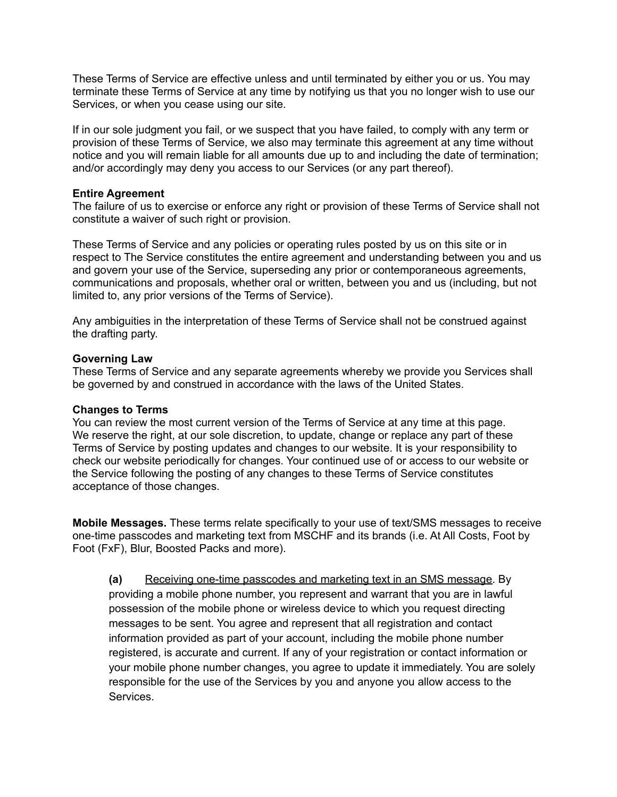These Terms of Service are effective unless and until terminated by either you or us. You may terminate these Terms of Service at any time by notifying us that you no longer wish to use our Services, or when you cease using our site.

If in our sole judgment you fail, or we suspect that you have failed, to comply with any term or provision of these Terms of Service, we also may terminate this agreement at any time without notice and you will remain liable for all amounts due up to and including the date of termination; and/or accordingly may deny you access to our Services (or any part thereof).

#### **Entire Agreement**

The failure of us to exercise or enforce any right or provision of these Terms of Service shall not constitute a waiver of such right or provision.

These Terms of Service and any policies or operating rules posted by us on this site or in respect to The Service constitutes the entire agreement and understanding between you and us and govern your use of the Service, superseding any prior or contemporaneous agreements, communications and proposals, whether oral or written, between you and us (including, but not limited to, any prior versions of the Terms of Service).

Any ambiguities in the interpretation of these Terms of Service shall not be construed against the drafting party.

### **Governing Law**

These Terms of Service and any separate agreements whereby we provide you Services shall be governed by and construed in accordance with the laws of the United States.

#### **Changes to Terms**

You can review the most current version of the Terms of Service at any time at this page. We reserve the right, at our sole discretion, to update, change or replace any part of these Terms of Service by posting updates and changes to our website. It is your responsibility to check our website periodically for changes. Your continued use of or access to our website or the Service following the posting of any changes to these Terms of Service constitutes acceptance of those changes.

**Mobile Messages.** These terms relate specifically to your use of text/SMS messages to receive one-time passcodes and marketing text from MSCHF and its brands (i.e. At All Costs, Foot by Foot (FxF), Blur, Boosted Packs and more).

**(a)** Receiving one-time passcodes and marketing text in an SMS message. By providing a mobile phone number, you represent and warrant that you are in lawful possession of the mobile phone or wireless device to which you request directing messages to be sent. You agree and represent that all registration and contact information provided as part of your account, including the mobile phone number registered, is accurate and current. If any of your registration or contact information or your mobile phone number changes, you agree to update it immediately. You are solely responsible for the use of the Services by you and anyone you allow access to the Services.